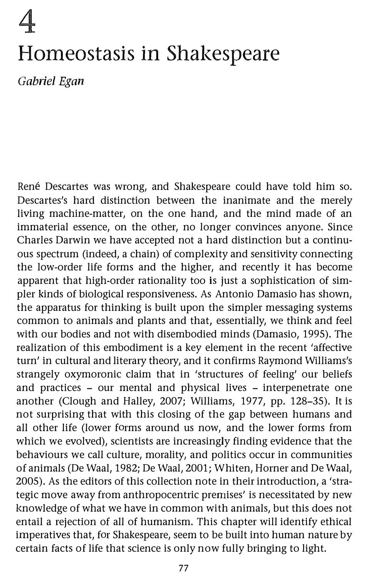## 4 Homeostasis in Shakespeare

Gabriel Egan

René Descartes was wrong, and Shakespeare could have told him so. Descartes's hard distinction between the inanimate and the merely living machine-matter, on the one hand, and the mind made of an immaterial essence, on the other, no longer convinces anyone. Since Charles Darwin we have accepted not a hard distinction but a continuous spectrum (indeed, a chain) of complexity and sensitivity connecting the low-order life forms and the higher, and recently it has become apparent that high-order rationality too is just a sophistication of simpler kinds of biological responsiveness. As Antonio Damasio has shown, the apparatus for thinking is built upon the simpler messaging systems common to animals and plants and that, essentially, we think and feel with our bodies and not with disembodied minds (Damasio, 1995). The realization of this embodiment is a key element in the recent 'affective turn' in cultural and literary theory, and it confirms Raymond Williams's strangely oxymoronic claim that in 'structures of feeling' our beliefs and practices - our mental and physical lives - interpenetrate one another (Clough and Halley, 2007; Williams, 1977, pp. 128-35). It is not surprising that with this closing of the gap between humans and all other life (lower forms around us now, and the lower forms from which we evolved), scientists are increasingly finding evidence that the behaviours we call culture, morality, and politics occur in communities of animals (De Waal, 1982; De Waal, 2001; Whiten, Horner and De Waal, 2005). As the editors of this collection note in their introduction, a 'strategic move away from anthropocentric premises' is necessitated by new knowledge of what we have in common with animals, but this does not entail a rejection of all of humanism. This chapter will identify ethical imperatives that, for Shakespeare, seem to be built into human nature by certain facts of life that science is only now fully bringing to light.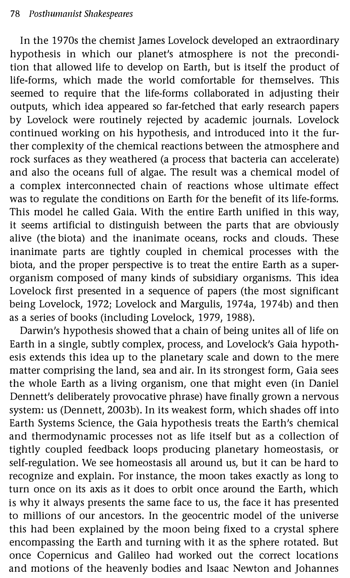In the 1970s the chemist James Lovelock developed an extraordinary hypothesis in which our planet's atmosphere is not the precondition that allowed life to develop on Earth, but is itself the product of life-forms, which made the world comfortable for themselves. This seemed to require that the life-forms collaborated in adjusting their outputs, which idea appeared so far-fetched that early research papers by Lovelock were routinely rejected by academic journals. Lovelock continued working on his hypothesis, and introduced into it the further complexity of the chemical reactions between the atmosphere and rock surfaces as they weathered (a process that bacteria can accelerate) and also the oceans full of algae. The result was a chemical model of a complex interconnected chain of reactions whose ultimate effect was to regulate the conditions on Earth for the benefit of its life-forms. This model he called Gaia. With the entire Earth unified in this way, it seems artificial to distinguish between the parts that are obviously alive (the biota) and the inanimate oceans, rocks and clouds. These inanimate parts are tightly coupled in chemical processes with the biota, and the proper perspective is to treat the entire Earth as a superorganism composed of many kinds of subsidiary organisms. This idea Lovelock first presented in a sequence of papers (the most significant being Lovelock, 1972; Lovelock and Margulis, 1974a, 1974b) and then as a series of books (including Lovelock, 1979, 1988).

Darwin's hypothesis showed that a chain of being unites all of life on Earth in a single, subtly complex, process, and Lovelock's Gaia hypothesis extends this idea up to the planetary scale and down to the mere matter comprising the land, sea and air. In its strongest form, Gaia sees the whole Earth as a living organism, one that might even (in Daniel Dennett's deliberately provocative phrase) have finally grown a nervous system: us (Dennett, 2003b). In its weakest form, which shades off into Earth Systems Science, the Gaia hypothesis treats the Earth's chemical and thermodynamic processes not as life itself but as a collection of tightly coupled feedback loops producing planetary homeostasis, or self-regulation. We see homeostasis all around us, but it can be hard to recognize and explain. For instance, the moon takes exactly as long to turn once on its axis as it does to orbit once around the Earth, which is why it always presents the same face to us, the face it has presented to millions of our ancestors. In the geocentric model of the universe this had been explained by the moon being fixed to a crystal sphere encompassing the Earth and turning with it as the sphere rotated. But once Copernicus and Galileo had worked out the correct locations and motions of the heavenly bodies and Isaac Newton and Johannes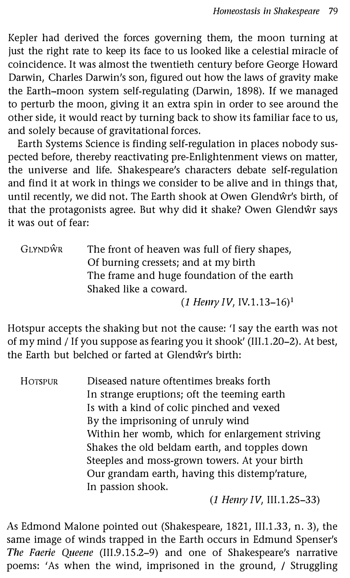Kepler had derived the forces governing them, the moon turning at just the right rate to keep its face to us looked like a celestial miracle of coincidence. It was almost the twentieth century before George Howard Darwin, Charles Darwin's son, figured out how the laws of gravity make the Earth-moon system self-regulating (Darwin, 1898). If we managed to perturb the moon, giving it an extra spin in order to see around the other side, it would react by turning back to show its familiar face to us, and solely because of gravitational forces.

Earth Systems Science is finding self-regulation in places nobody suspected before, thereby reactivating pre-Enlightenment views on matter, the universe and life. Shakespeare's characters debate self-regulation and find it at work in things we consider to be alive and in things that, until recently, we did not. The Earth shook at Owen Glendwr's birth, of that the protagonists agree. But why did it shake? Owen Glendŵr says it was out of fear:

| GLYNDŴR | The front of heaven was full of fiery shapes, |
|---------|-----------------------------------------------|
|         | Of burning cressets; and at my birth          |
|         | The frame and huge foundation of the earth    |
|         | Shaked like a coward.                         |
|         | $(1$ Henry IV, IV.1.13–16) <sup>1</sup>       |

Hotspur accepts the shaking but not the cause: 'I say the earth was not of my mind / If you suppose as fearing you it shook' (III.1.20-2). At best, the Earth but belched or farted at Glendwr's birth:

HorsruR Diseased nature oftentimes breaks forth In strange eruptions; oft the teeming earth Is with a kind of colic pinched and vexed By the imprisoning of unruly wind Within her womb, which for enlargement striving Shakes the old beldam earth, and topples down Steeples and moss-grown towers. At your birth Our grandam earth, having this distemp'rature, In passion shook.

 $(1$  Henry IV, III.1.25-33)

As Edmond Malone pointed out (Shakespeare, 1821, III.1.33, n. 3), the same image of winds trapped in the Earth occurs in Edmund Spenser's The Faerie Queene (III.9.15.2-9) and one of Shakespeare's narrative poems: 'As when the wind, imprisoned in the ground, / Struggling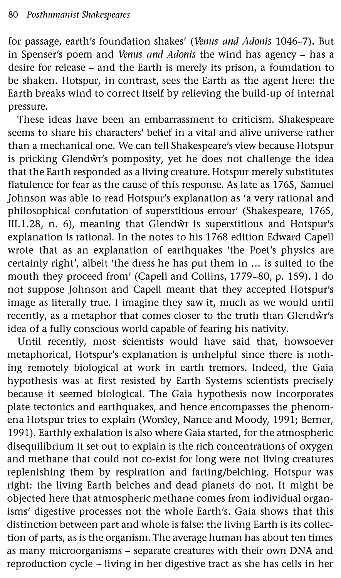for passage, earth's foundation shakes' (Venus and Adonis 1046-7). But in Spenser's poem and Venus and Adonis the wind has agency – has a desire for release - and the Earth is merely its prison, a foundation to be shaken. Hotspur, in contrast, sees the Earth as the agent here: the Earth breaks wind to correct itself by relieving the build-up of internal pressure.

These ideas have been an embarrassment to criticism. Shakespeare seems to share his characters' belief in a vital and alive universe rather than a mechanical one. We can tell Shakespeare's view because Hotspur is pricking Glendwr's pomposity, yet he does not challenge the idea that the Earth responded as a living creature. Hotspur merely substitutes flatulence for fear as the cause of this response. As late as 1765, Samuel Johnson was able to read Hotspur's explanation as 'a very rational and philosophical confutation of superstitious errour' (Shakespeare, 1765, III.1.28, n. 6), meaning that Glendwr is superstitious and Hotspur's explanation is rational. In the notes to his 1768 edition Edward Capell wrote that as an explanation of earthquakes 'the Poet's physics are certainly right', albeit 'the dress he has put them in ... is suited to the mouth they proceed from' (Capell and Collins, 1779-80, p. 159). I do not suppose Johnson and Capell meant that they accepted Hotspur's image as literally true. I imagine they saw it, much as we would until recently, as a metaphor that comes closer to the truth than Glendŵr's idea of a fully conscious world capable of fearing his nativity.

Until recently, most scientists would have said that, howsoever metaphorical, Hotspur's explanation is unhelpful since there is nothing remotely biological at work in earth tremors. Indeed, the Gaia hypothesis was at first resisted by Earth Systems scientists precisely because it seemed biological. The Gaia hypothesis now incorporates plate tectonics and earthquakes, and hence encompasses the phenomena Hotspur tries to explain (Worsley, Nance and Moody, 1991; Berner, 1991). Earthly exhalation is also where Gaia started, for the atmospheric disequilibrium it set out to explain is the rich concentrations of oxygen and methane that could not co-exist for long were not living creatures replenishing them by respiration and farting/belching. Hotspur was right: the living Earth belches and dead planets do not. It might be objected here that atmospheric methane comes from individual organisms' digestive processes not the whole Earth's. Gaia shows that this distinction between part and whole is false: the living Earth is its collection of parts, as is the organism. The average human has about ten times as many microorganisms - separate creatures with their own DNA and reproduction cycle - living in her digestive tract as she has cells in her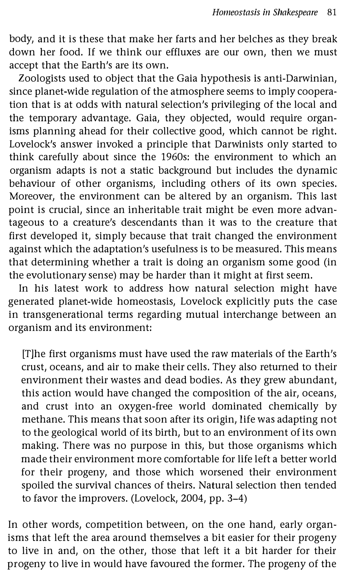body, and it is these that make her farts and her belches as they break down her food. If we think our effluxes are our own, then we must accept that the Earth's are its own.

Zoologists used to object that the Gaia hypothesis is anti-Darwinian, since planet-wide regulation of the atmosphere seems to imply cooperation that is at odds with natural selection's privileging of the local and the temporary advantage. Gaia, they objected, would require organisms planning ahead for their collective good, which cannot be right. Lovelock's answer invoked a principle that Darwinists only started to think carefully about since the 1960s: the environment to which an organism adapts is not a static background but includes the dynamic behaviour of other organisms, including others of its own species. Moreover, the environment can be altered by an organism. This last point is crucial, since an inheritable trait might be even more advantageous to a creature's descendants than it was to the creature that first developed it, simply because that trait changed the environment against which the adaptation's usefulness is to be measured. This means that determining whether a trait is doing an organism some good (in the evolutionary sense) may be harder than it might at first seem.

In his latest work to address how natural selection might have generated planet-wide homeostasis, Lovelock explicitly puts the case in transgenerational terms regarding mutual interchange between an organism and its environment:

[T]he first organisms must have used the raw materials of the Earth's crust, oceans, and air to make their cells. They also returned to their environment their wastes and dead bodies. As they grew abundant, this action would have changed the composition of the air, oceans, and crust into an oxygen-free world dominated chemically by methane. This means that soon after its origin, life was adapting not to the geological world of its birth, but to an environment of its own making. There was no purpose in this, but those organisms which made their environment more comfortable for life left a better world for their progeny, and those which worsened their environment spoiled the survival chances of theirs. Natural selection then tended to favor the improvers. (Lovelock, 2004, pp. 3-4)

In other words, competition between, on the one hand, early organisms that left the area around themselves a bit easier for their progeny to live in and, on the other, those that left it a bit harder for their progeny to live in would have favoured the former. The progeny of the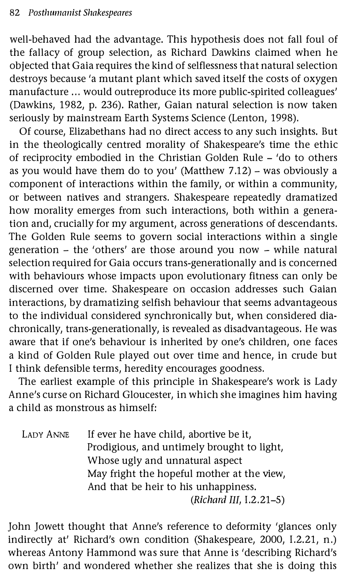well-behaved had the advantage. This hypothesis does not fall foul of the fallacy of group selection, as Richard Dawkins claimed when he objected that Gaia requires the kind of selflessness that natural selection destroys because 'a mutant plant which saved itself the costs of oxygen manufacture .. . would outreproduce its more public-spirited colleagues' (Dawkins, 1982, p. 236). Rather, Gaian natural selection is now taken seriously by mainstream Earth Systems Science (Lenton, 1998).

Of course, Elizabethans had no direct access to any such insights. But in the theologically centred morality of Shakespeare's time the ethic of reciprocity embodied in the Christian Golden Rule - 'do to others as you would have them do to you' (Matthew  $7.12$ ) - was obviously a component of interactions within the family, or within a community, or between natives and strangers. Shakespeare repeatedly dramatized how morality emerges from such interactions, both within a generation and, crucially for my argument, across generations of descendants. The Golden Rule seems to govern social interactions within a single generation - the 'others' are those around you now - while natural selection required for Gaia occurs trans-generationally and is concerned with behaviours whose impacts upon evolutionary fitness can only be discerned over time. Shakespeare on occasion addresses such Gaian interactions, by dramatizing selfish behaviour that seems advantageous to the individual considered synchronically but, when considered diachronically, trans-generationally, is revealed as disadvantageous. He was aware that if one's behaviour is inherited by one's children, one faces a kind of Golden Rule played out over time and hence, in crude but I think defensible terms, heredity encourages goodness.

The earliest example of this principle in Shakespeare's work is Lady Anne's curse on Richard Gloucester, in which she imagines him having a child as monstrous as himself:

LADY ANNE If ever he have child, abortive be it, Prodigious, and untimely brought to light, Whose ugly and unnatural aspect May fright the hopeful mother at the view, And that be heir to his unhappiness. (Richard III, I.2.21-5)

John Jowett thought that Anne's reference to deformity 'glances only indirectly at' Richard's own condition (Shakespeare, 2000, I.2.21, n.) whereas Antony Hammond was sure that Anne is 'describing Richard's own birth' and wondered whether she realizes that she is doing this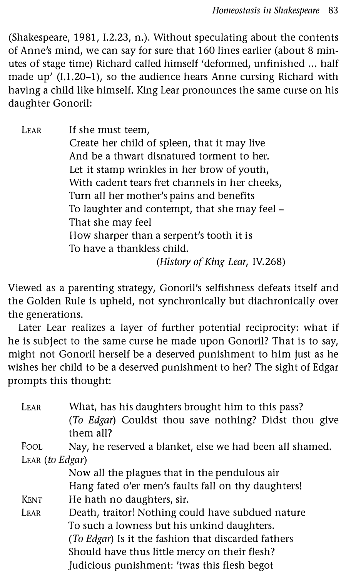(Shakespeare, 1981, I.2.23, n.). Without speculating about the contents of Anne's mind, we can say for sure that 160 lines earlier (about 8 minutes of stage time) Richard called himself 'deformed, unfinished ... half made up' (I.1.20-1), so the audience hears Anne cursing Richard with having a child like himself. King Lear pronounces the same curse on his daughter Gonoril:

LEAR If she must teem, Create her child of spleen, that it may live And be a thwart disnatured torment to her. Let it stamp wrinkles in her brow of youth, With cadent tears fret channels in her cheeks, Turn all her mother's pains and benefits To laughter and contempt, that she may feel -That she may feel How sharper than a serpent's tooth it is To have a thankless child. (History of King Lear, IV.268)

Viewed as a parenting strategy, Gonoril's selfishness defeats itself and the Golden Rule is upheld, not synchronically but diachronically over the generations.

Later Lear realizes a layer of further potential reciprocity: what if he is subject to the same curse he made upon Gonoril? That is to say, might not Gonoril herself be a deserved punishment to him just as he wishes her child to be a deserved punishment to her? The sight of Edgar prompts this thought:

| LEAR            | What, has his daughters brought him to this pass?        |  |
|-----------------|----------------------------------------------------------|--|
|                 | (To Edgar) Couldst thou save nothing? Didst thou give    |  |
|                 | them all?                                                |  |
| Fool            | Nay, he reserved a blanket, else we had been all shamed. |  |
| LEAR (to Edgar) |                                                          |  |
|                 | Now all the plagues that in the pendulous air            |  |
|                 | Hang fated o'er men's faults fall on thy daughters!      |  |
| <b>KENT</b>     | He hath no daughters, sir.                               |  |
| LEAR            | Death, traitor! Nothing could have subdued nature        |  |
|                 | To such a lowness but his unkind daughters.              |  |
|                 | (To Edgar) Is it the fashion that discarded fathers      |  |
|                 | Should have thus little mercy on their flesh?            |  |
|                 | Judicious punishment: 'twas this flesh begot             |  |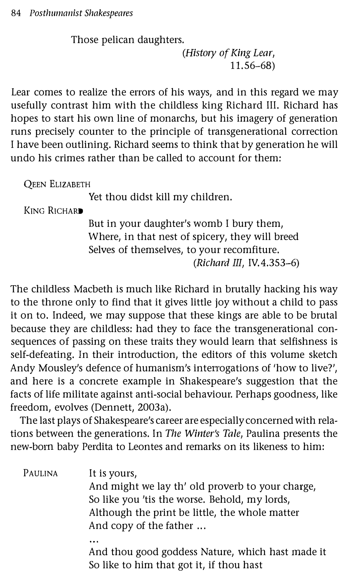Those pelican daughters.

(History of King Lear, 11.56-68)

Lear comes to realize the errors of his ways, and in this regard we may usefully contrast him with the childless king Richard III. Richard has hopes to start his own line of monarchs, but his imagery of generation runs precisely counter to the principle of transgenerational correction I have been outlining. Richard seems to think that by generation he will undo his crimes rather than be called to account for them:

QEEN ELIZABETH

Yet thou didst kill my children.

KING RICHARD

But in your daughter's womb I bury them, Where, in that nest of spicery, they will breed Selves of themselves, to your recomfiture. (Richard III, IV.4.353-6)

The childless Macbeth is much like Richard in brutally hacking his way to the throne only to find that it gives little joy without a child to pass it on to. Indeed, we may suppose that these kings are able to be brutal because they are childless: had they to face the transgenerational consequences of passing on these traits they would learn that selfishness is self-defeating. In their introduction, the editors of this volume sketch Andy Mousley's defence of humanism's intenogations of 'how to live?', and here is a concrete example in Shakespeare's suggestion that the facts of life militate against anti-social behaviour. Perhaps goodness, like freedom, evolves (Dennett, 2003a).

The last plays of Shakespeare's career are especially concerned with relations between the generations. In The Winter's Tale, Paulina presents the new-born baby Perdita to Leontes and remarks on its likeness to him:

PAULINA It is yours, And might we lay th' old proverb to your charge, So like you 'tis the worse. Behold, my lords, Although the print be little, the whole matter And copy of the father ...  $\ddotsc$ And thou good goddess Nature, which hast made it So like to him that got it, if thou hast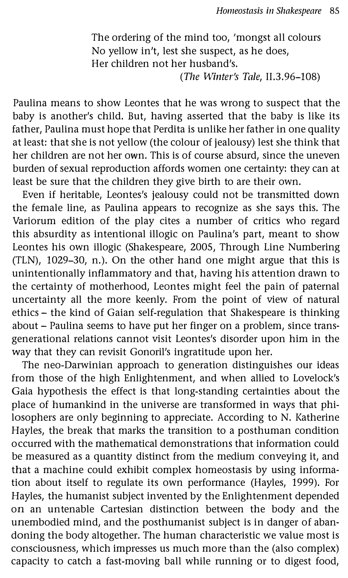The ordering of the mind too, 'mongst all colours No yellow in't, lest she suspect, as he does, Her children not her husband's. (The Winter's Tale, II.3.96-108)

Paulina means to show Leontes that he was wrong to suspect that the baby is another's child. But, having asserted that the baby is like its father, Paulina must hope that Perdita is unlike her father in one quality at least: that she is not yellow (the colour of jealousy) lest she think that her children are not her own. This is of course absurd, since the uneven burden of sexual reproduction affords women one certainty: they can at least be sure that the children they give birth to are their own.

Even if heritable, Leontes's jealousy could not be transmitted down the female line, as Paulina appears to recognize as she says this. The Variorum edition of the play cites a number of critics who regard this absurdity as intentional illogic on Paulina's part, meant to show Leontes his own illogic (Shakespeare, 2005, Through Line Numbering (TLN), 1029-30, n.). On the other hand one might argue that this is unintentionally inflammatory and that, having his attention drawn to the certainty of motherhood, Leontes might feel the pain of paternal uncertainty all the more keenly. From the point of view of natural ethics - the kind of Gaian self-regulation that Shakespeare is thinking about - Paulina seems to have put her finger on a problem, since transgenerational relations cannot visit Leontes's disorder upon him in the way that they can revisit Gonoril's ingratitude upon her.

The neo-Darwinian approach to generation distinguishes our ideas from those of the high Enlightenment, and when allied to Lovelock's Gaia hypothesis the effect is that long-standing certainties about the place of humankind in the universe are transformed in ways that philosophers are only beginning to appreciate. According to N. Katherine Hayles, the break that marks the transition to a posthuman condition occurred with the mathematical demonstrations that information could be measured as a quantity distinct from the medium conveying it, and that a machine could exhibit complex homeostasis by using information about itself to regulate its own performance (Hayles, 1999). For Hayles, the humanist subject invented by the Enlightenment depended on an untenable Cartesian distinction between the body and the unembodied mind, and the posthumanist subject is in danger of abandoning the body altogether. The human characteristic we value most is consciousness, which impresses us much more than the (also complex) capacity to catch a fast-moving ball while running or to digest food,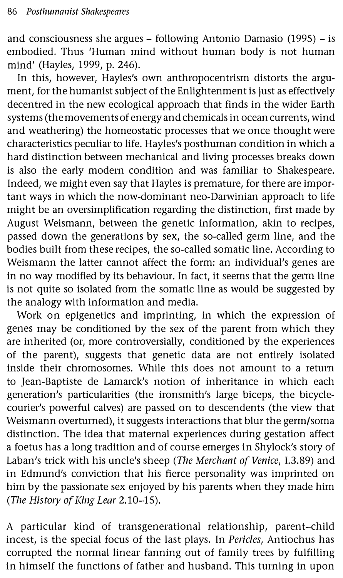and consciousness she argues - following Antonio Damasio (1995) - is embodied. Thus 'Human mind without human body is not human mind' (Hayles, 1999, p. 246).

In this, however, Hayles's own anthropocentrism distorts the argument, for the humanist subject of the Enlightenment is just as effectively decentred in the new ecological approach that finds in the wider Earth systems (the movements of energy and chemicals in ocean currents, wind and weathering) the homeostatic processes that we once thought were characteristics peculiar to life. Hayles's posthuman condition in which a hard distinction between mechanical and living processes breaks down is also the early modern condition and was familiar to Shakespeare. Indeed, we might even say that Hayles is premature, for there are important ways in which the now-dominant neo-Darwinian approach to life might be an oversimplification regarding the distinction, first made by August Weismann, between the genetic information, akin to recipes, passed down the generations by sex, the so-called germ line, and the bodies built from these recipes, the so-called somatic line. According to Weismann the latter cannot affect the form: an individual's genes are in no way modified by its behaviour. In fact, it seems that the germ line is not quite so isolated from the somatic line as would be suggested by the analogy with information and media.

Work on epigenetics and imprinting, in which the expression of genes may be conditioned by the sex of the parent from which they are inherited (or, more controversially, conditioned by the experiences of the parent), suggests that genetic data are not entirely isolated inside their chromosomes. While this does not amount to a return to Jean-Baptiste de Lamarck's notion of inheritance in which each generation's particularities (the ironsmith's large biceps, the bicyclecourier's powerful calves) are passed on to descendents (the view that Weismann overturned), it suggests interactions that blur the germ/soma distinction. The idea that maternal experiences during gestation affect a foetus has a long tradition and of course emerges in Shylock's story of Laban's trick with his uncle's sheep (The Merchant of Venice, I.3.89) and in Edmund's conviction that his fierce personality was imprinted on him by the passionate sex enjoyed by his parents when they made him (The History of King Lear 2.10-15).

A particular kind of transgenerational relationship, parent-child incest, is the special focus of the last plays. In Pericles, Antiochus has corrupted the normal linear fanning out of family trees by fulfilling in himself the functions of father and husband. This turning in upon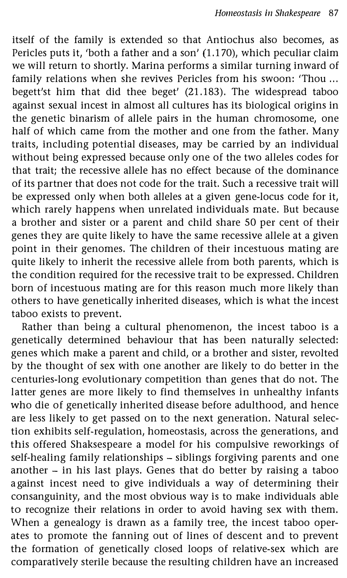itself of the family is extended so that Antiochus also becomes, as Pericles puts it, 'both a father and a son' (1.170), which peculiar claim we will return to shortly. Marina performs a similar turning inward of family relations when she revives Pericles from his swoon: 'Thou ... begett'st him that did thee beget' (21.183). The widespread taboo against sexual incest in almost all cultures has its biological origins in the genetic binarism of allele pairs in the human chromosome, one half of which came from the mother and one from the father. Many traits, including potential diseases, may be carried by an individual without being expressed because only one of the two alleles codes for that trait; the recessive allele has no effect because of the dominance of its partner that does not code for the trait. Such a recessive trait will be expressed only when both alleles at a given gene-locus code for it, which rarely happens when unrelated individuals mate. But because a brother and sister or a parent and child share 50 per cent of their genes they are quite likely to have the same recessive allele at a given point in their genomes. The children of their incestuous mating are quite likely to inherit the recessive allele from both parents, which is the condition required for the recessive trait to be expressed. Children born of incestuous mating are for this reason much more likely than others to have genetically inherited diseases, which is what the incest taboo exists to prevent.

Rather than being a cultural phenomenon, the incest taboo is a genetically determined behaviour that has been naturally selected: genes which make a parent and child, or a brother and sister, revolted by the thought of sex with one another are likely to do better in the centuries-long evolutionary competition than genes that do not. The latter genes are more likely to find themselves in unhealthy infants who die of genetically inherited disease before adulthood, and hence are less likely to get passed on to the next generation. Natural selection exhibits self-regulation, homeostasis, across the generations, and this offered Shaksespeare a model for his compulsive reworkings of self-healing family relationships - siblings forgiving parents and one another - in his last plays. Genes that do better by raising a taboo a gainst incest need to give individuals a way of determining their consanguinity, and the most obvious way is to make individuals able to recognize their relations in order to avoid having sex with them. When a genealogy is drawn as a family tree, the incest taboo operates to promote the fanning out of lines of descent and to prevent the formation of genetically closed loops of relative-sex which are comparatively sterile because the resulting children have an increased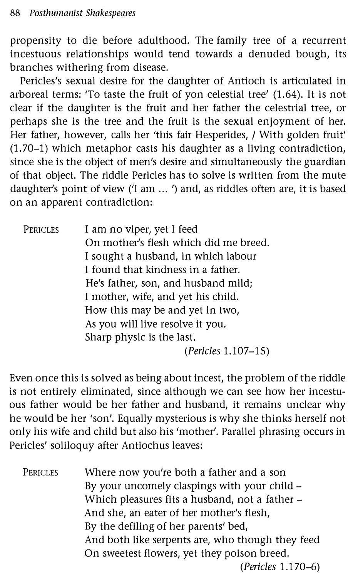propensity to die before adulthood. The family tree of a recurrent incestuous relationships would tend towards a denuded bough, its branches withering from disease.

Pericles's sexual desire for the daughter of Antioch is articulated in arboreal terms: 'To taste the fruit of yon celestial tree' (1.64). It is not clear if the daughter is the fruit and her father the celestrial tree, or perhaps she is the tree and the fruit is the sexual enjoyment of her. Her father, however, calls her 'this fair Hesperides, / With golden fruit' (1.70-1) which metaphor casts his daughter as a living contradiction, since she is the object of men's desire and simultaneously the guardian of that object. The riddle Pericles has to solve is written from the mute daughter's point of view ('I am ... ') and, as riddles often are, it is based on an apparent contradiction:

PERICLES I am no viper, yet I feed On mother's flesh which did me breed. I sought a husband, in which labour I found that kindness in a father. He's father, son, and husband mild; I mother, wife, and yet his child. How this may be and yet in two, As you will live resolve it you. Sharp physic is the last. (Pericles 1.107-15)

Even once this is solved as being about incest, the problem of the riddle is not entirely eliminated, since although we can see how her incestuous father would be her father and husband, it remains unclear why he would be her 'son'. Equally mysterious is why she thinks herself not only his wife and child but also his 'mother'. Parallel phrasing occurs in Pericles' soliloquy after Antiochus leaves:

PERICLES Where now you're both a father and a son By your uncomely claspings with your child - Which pleasures fits a husband, not a father -And she, an eater of her mother's flesh, By the defiling of her parents' bed, And both like serpents are, who though they feed On sweetest flowers, yet they poison breed. (Pericles 1.170-6)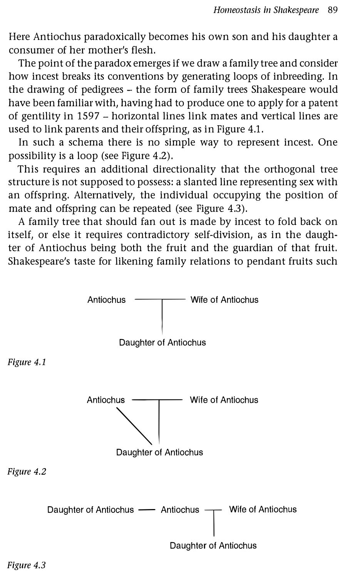Here Antiochus paradoxically becomes his own son and his daughter a consumer of her mother's flesh.

The point of the paradox emerges if we draw a family tree and consider how incest breaks its conventions by generating loops of inbreeding. In the drawing of pedigrees - the form of family trees Shakespeare would have been familiar with, having had to produce one to apply for a patent of gentility in 1597 - horizontal lines link mates and vertical lines are used to link parents and their offspring, as in Figure 4.1.

In such a schema there is no simple way to represent incest. One possibility is a loop (see Figure 4.2).

This requires an additional directionality that the orthogonal tree structure is not supposed to possess: a slanted line representing sex with an offspring. Alternatively, the individual occupying the position of mate and offspring can be repeated (see Figure 4.3).

A family tree that should fan out is made by incest to fold back on itself, or else it requires contradictory self-division, as in the daughter of Antiochus being both the fruit and the guardian of that fruit. Shakespeare's taste for likening family relations to pendant fruits such

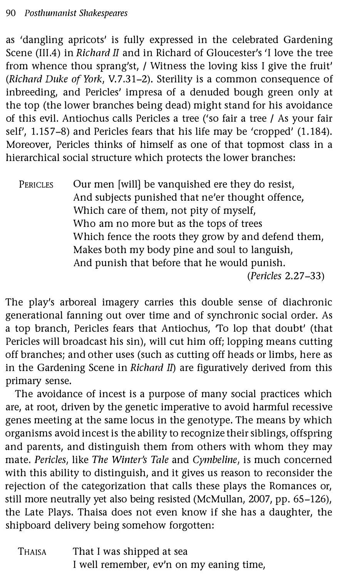as 'dangling apricots' is fully expressed in the celebrated Gardening Scene (III.4) in Richard II and in Richard of Gloucester's 'I love the tree from whence thou sprang'st, I Witness the loving kiss I give the fruit' (Richard Duke of York, V.7.31-2). Sterility is a common consequence of inbreeding, and Pericles' impresa of a denuded bough green only at the top (the lower branches being dead) might stand for his avoidance of this evil. Antiochus calls Pericles a tree ('so fair a tree / As your fair self', 1.157-8) and Pericles fears that his life may be 'cropped' (1.184). Moreover, Pericles thinks of himself as one of that topmost class in a hierarchical social structure which protects the lower branches:

PERICLES Our men [will] be vanquished ere they do resist, And subjects punished that ne'er thought offence, Which care of them, not pity of myself, Who am no more but as the tops of trees Which fence the roots they grow by and defend them, Makes both my body pine and soul to languish, And punish that before that he would punish. (Pericles 2.27-33)

The play's arboreal imagery carries this double sense of diachronic generational fanning out over time and of synchronic social order. As a top branch, Pericles fears that Antiochus, 'To lop that doubt' (that Pericles will broadcast his sin), will cut him off; lopping means cutting off branches; and other uses (such as cutting off heads or limbs, here as in the Gardening Scene in Richard  $II$ ) are figuratively derived from this primary sense.

The avoidance of incest is a purpose of many social practices which are, at root, driven by the genetic imperative to avoid harmful recessive genes meeting at the same locus in the genotype. The means by which organisms avoid incest is the ability to recognize their siblings, offspring and parents, and distinguish them from others with whom they may mate. Pericles, like The Winter's Tale and Cymbeline, is much concerned with this ability to distinguish, and it gives us reason to reconsider the rejection of the categorization that calls these plays the Romances or, still more neutrally yet also being resisted (McMullan, 2007, pp. 65-126), the Late Plays. Thaisa does not even know if she has a daughter, the shipboard delivery being somehow forgotten:

THAISA That I was shipped at sea I well remember, ev'n on my eaning time,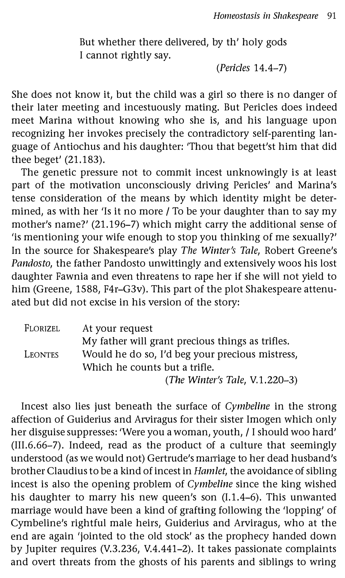But whether there delivered, by th' holy gods I cannot rightly say.

(Pericles 14.4-7)

She does not know it, but the child was a girl so there is no danger of their later meeting and incestuously mating. But Pericles does indeed meet Marina without knowing who she is, and his language upon recognizing her invokes precisely the contradictory self-parenting language of Antiochus and his daughter: 'Thou that begett'st him that did thee beget' (21.183).

The genetic pressure not to commit incest unknowingly is at least part of the motivation unconsciously driving Pericles' and Marina's tense consideration of the means by which identity might be determined, as with her 'Is it no more / To be your daughter than to say my mother's name?' (21.196-7) which might carry the additional sense of 'is mentioning your wife enough to stop you thinking of me sexually?' In the source for Shakespeare's play The Winter's Tale, Robert Greene's Pandosto, the father Pandosto unwittingly and extensively woos his lost daughter Fawnia and even threatens to rape her if she will not yield to him (Greene, 1588, F4r-G3v). This part of the plot Shakespeare attenuated but did not excise in his version of the story:

| FLORIZEL       | At your request                                  |
|----------------|--------------------------------------------------|
|                | My father will grant precious things as trifles. |
| <b>LEONTES</b> | Would he do so, I'd beg your precious mistress,  |
|                | Which he counts but a trifle.                    |
|                | (The Winter's Tale, $V.1.220-3$ )                |

Incest also lies just beneath the surface of Cymbeline in the strong affection of Guiderius and Arviragus for their sister Imogen which only her disguise suppresses: 'Were you a woman, youth, / I should woo hard' (III.6.66-7). Indeed, read as the product of a culture that seemingly understood (as we would not) Gertrude's marriage to her dead husband's brother Claudius to be a kind of incest in Hamlet, the avoidance of sibling incest is also the opening problem of Cymbeline since the king wished his daughter to marry his new queen's son (I.1.4-6). This unwanted marriage would have been a kind of grafting following the 'lopping' of Cymbeline's rightful male heirs, Guiderius and Arviragus, who at the end are again 'jointed to the old stock' as the prophecy handed down by Jupiter requires (V.3.236, V.4.441-2). It takes passionate complaints and overt threats from the ghosts of his parents and siblings to wring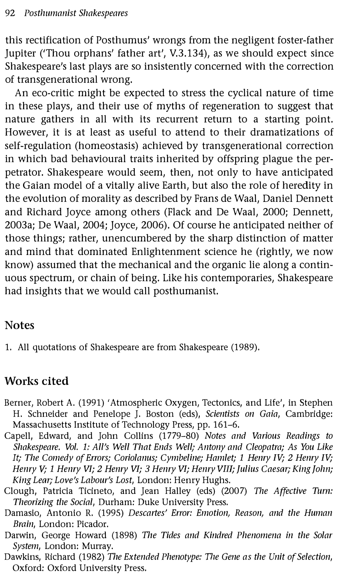this rectification of Posthumus' wrongs from the negligent foster-father Jupiter ('Thou orphans' father art', V.3.134), as we should expect since Shakespeare's last plays are so insistently concerned with the correction of transgenerational wrong.

An eco-critic might be expected to stress the cyclical nature of time in these plays, and their use of myths of regeneration to suggest that nature gathers in all with its recurrent return to a starting point. However, it is at least as useful to attend to their dramatizations of self-regulation (homeostasis) achieved by transgenerational correction in which bad behavioural traits inherited by offspring plague the perpetrator. Shakespeare would seem, then, not only to have anticipated the Gaian model of a vitally alive Earth, but also the role of heredity in the evolution of morality as described by Frans de Waal, Daniel Dennett and Richard Joyce among others (Flack and De Waal, 2000; Dennett, 2003a; De Waal, 2004; Joyce, 2006). Of course he anticipated neither of those things; rather, unencumbered by the sharp distinction of matter and mind that dominated Enlightenment science he (rightly, we now know) assumed that the mechanical and the organic lie along a continuous spectrum, or chain of being. Like his contemporaries, Shakespeare had insights that we would call posthumanist.

## Notes

1. All quotations of Shakespeare are from Shakespeare (1989).

## Works cited

- Berner, Robert A. (1991) 'Atmospheric Oxygen, Tectonics, and Life', in Stephen H. Schneider and Penelope J. Boston (eds), Scientists on Gaia, Cambridge: Massachusetts Institute of Technology Press, pp. 161-6.
- Capell, Edward, and John Collins (1779-80) Notes and Various Readings to Shakespeare. Vol. 1: All's Well That Ends Well; Antony and Cleopatra; As You Like It; The Comedy of Errors; Coriolanus; Cymbeline; Hamlet; 1 Henry IV; 2 Henry IV; Henry V; 1 Henry VI; 2 Henry VI; 3 Henry VI; Henry VIII; Julius Caesar; King John; King Lear; Love's Labour's Lost, London: Henry Hughs.
- Clough, Patricia Ticineto, and Jean Halley (eds) (2007) The Affective Turn: Theorizing tlie Social, Durham: Duke University Press.
- Damasio, Antonio R. (1995) Descartes' Error: Emotion, Reason, and the Human Brain, London: Picador.
- Darwin, George Howard (1898) The Tides and Kindred Phenomena in the Solar System, London: Murray.
- Dawkins, Richard (1982) The Extended Phenotype: The Gene as the Unit of Selection, Oxford: Oxford University Press.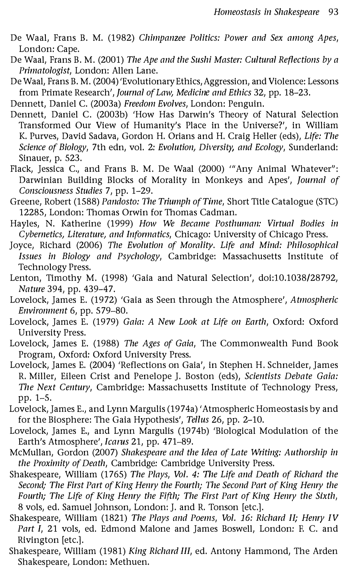- De Waal, Frans B. M. (1982) Chimpanzee Politics: Power and Sex among Apes, London: Cape.
- De Waal, Frans B. M. (2001) The Ape and the Sushi Master: Cultural Reflections by a Primatologist, London: Allen Lane.
- De Waal, Frans B. M. (2004) 'Evolutionary Ethics, Aggression, and Violence: Lessons from Primate Research', Journal of Law, Medicine and Ethics 32, pp. 18-23.

Dennett, Daniel C. (2003a) Freedom Evolves, London: Penguin.

- Dennett, Daniel C. (2003b) 'How Has Darwin's Theory of Natural Selection Transformed Our View of Humanity's Place in the Universe?', in William K. Purves, David Sadava, Gordon H. Orians and H. Craig Heller (eds), Life: The Science of Biology, 7th edn, vol. 2: Evolution, Diversity, and Ecology, Sunderland: Sinauer, p. 523.
- Flack, Jessica C., and Frans B. M. De Waal (2000) '"Any Animal Whatever": Darwinian Building Blocks of Morality in Monkeys and Apes', Journal of Consciousness Studies 7, pp. 1-29.
- Greene, Robert (1588) Pandosto: The Triumph of Time, Short Title Catalogue (STC) 12285, London: Thomas Orwin for Thomas Cadman.
- Hayles, N. Katherine (1999) How We Became Posthuman: Virtual Bodies in Cybernetics, Literature, and Informatics, Chicago: University of Chicago Press.
- Joyce, Richard (2006) The Evolution of Morality. Life and Mind: Philosophical Issues in Biology and Psychology, Cambridge: Massachusetts Institute of Technology Press.
- Lenton, Timothy M. (1998) 'Gaia and Natural Selection', doi:l0.1038/28792, Nature 394, pp. 439-47.
- Lovelock, James E. (1972) 'Gaia as Seen through the Atmosphere', Atmospheric Environment 6, pp. 579-80.
- Lovelock, James E. (1979) Gaia: A New Look at Life on Earth, Oxford: Oxford University Press.
- Lovelock, James E. (1988) The Ages of Gaia, The Commonwealth Fund Book Program, Oxford: Oxford University Press.
- Lovelock, James E. (2004) 'Reflections on Gaia', in Stephen H. Schneider, James R. Miller, Eileen Crist and Penelope J. Boston (eds), Scientists Debate Gaia: The Next Century, Cambridge: Massachusetts Institute of Technology Press, pp. 1-5.
- Lovelock, James E., and Lynn Margulis (1974a) 'Atmospheric Homeostasis by and for the Biosphere: The Gaia Hypothesis', Tellus 26, pp. 2-10.
- Lovelock, James E., and Lynn Margulis (1974b) 'Biological Modulation of the Earth's Atmosphere', Icarus 21, pp. 471-89.
- McMullan, Gordon (2007) Shakespeare and the Idea of Late Writing: Authorship in the Proximity of Death, Cambridge: Cambridge University Press.
- Shakespeare, William (1765) The Plays, Vol. 4: The Life and Death of Richard the Second; The First Part of King Henry the Fourth; The Second Part of King Henry the Fourth; The Life of King Henry the Fifth; The First Part of King Henry the Sixth, 8 vols, ed. Samuel Johnson, London: J. and R. Tonson [etc.].
- Shakespeare, William (1821) The Plays and Poems, Vol. 16: Richard II; Henry IV Part I, 21 vols, ed. Edmond Malone and James Boswell, London: F. C. and Rivington [etc.].
- Shakespeare, William (1981) King Richard III, ed. Antony Hammond, The Arden Shakespeare, London: Methuen.